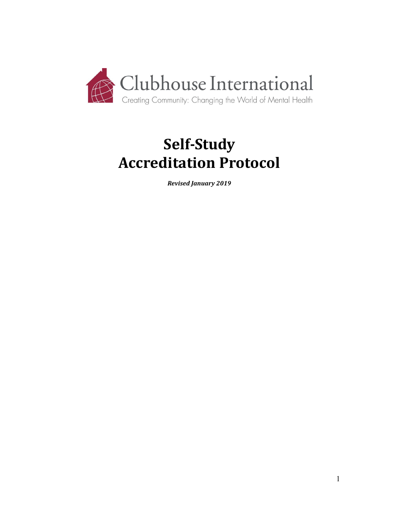

# **Self-Study Accreditation Protocol**

*Revised January 2019*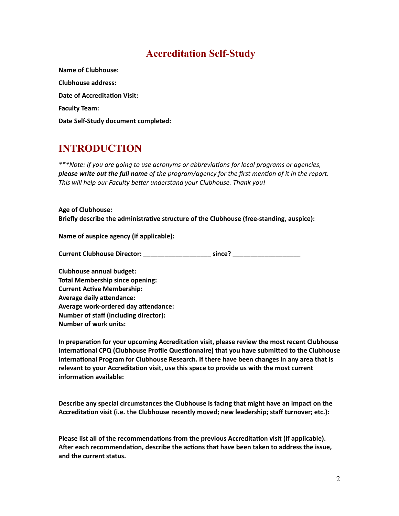### **Accreditation Self-Study**

**Name of Clubhouse: Clubhouse address: Date of Accreditation Visit: Faculty Team: Date Self-Study document completed:**

# **INTRODUCTION**

*\*\*\*Note: If you are going to use acronyms or abbreviaons for local programs or agencies, please* write out the full name of the program/agency for the first mention of it in the report. *Fhis* will help our Faculty better understand your Clubhouse. Thank you!

**Age of Clubhouse: Briefly** describe the administrative structure of the Clubhouse (free-standing, auspice):

**Name of auspice agency (if applicable):**

**Current Clubhouse Director: \_\_\_\_\_\_\_\_\_\_\_\_\_\_\_\_\_\_\_ since? \_\_\_\_\_\_\_\_\_\_\_\_\_\_\_\_\_\_\_**

**Clubhouse annual budget: Total Membership since opening: Current Active Membership: Average daily attendance: Average work-ordered day attendance: Number of staff (including director): Number of work units:**

**In preparation for your upcoming Accreditation visit, please review the most recent Clubhouse International CPQ (Clubhouse Profile Questionnaire) that you have submitted to the Clubhouse International Program for Clubhouse Research. If there have been changes in any area that is relevant to your Accreditaon visit, use this space to provide us with the most current information** available:

**Describe any special circumstances the Clubhouse is facing that might have an impact on the Accreditaon visit (i.e. the Clubhouse recently moved; new leadership; staff turnover; etc.):**

**Please list all of the recommendations from the previous Accreditation visit (if applicable). Aer each recommendaon, describe the acons that have been taken to address the issue, and the current status.**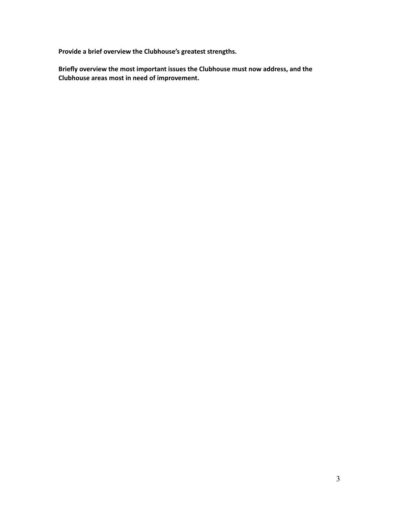**Provide a brief overview the Clubhouse's greatest strengths.**

**Briefly overview the most important issues the Clubhouse must now address, and the Clubhouse areas most in need of improvement.**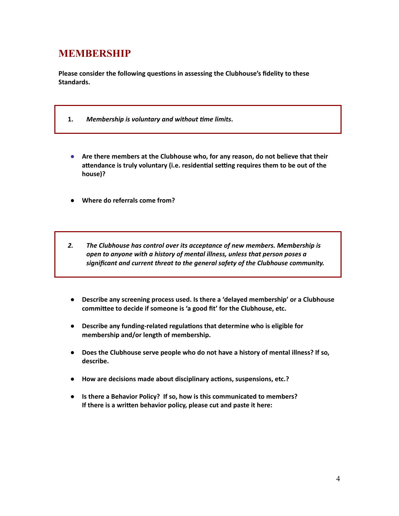### **MEMBERSHIP**

**Please consider the following questions in assessing the Clubhouse's fidelity to these Standards.**

- **1.** *Membership is voluntary and without me limits***.**
- **● Are there members at the Clubhouse who, for any reason, do not believe that their aendance is truly voluntary (i.e. residenal seng requires them to be out of the house)?**
- **● Where do referrals come from?**
- *2. The Clubhouse has control over its acceptance of new members. Membership is open to anyone with a history of mental illness, unless that person poses a significant and current threat to the general safety of the Clubhouse community.*
- **● Describe any screening process used. Is there a 'delayed membership' or a Clubhouse commiee to decide if someone is 'a good fit' for the Clubhouse, etc.**
- **•** Describe any funding-related regulations that determine who is eligible for **membership and/or length of membership.**
- **● Does the Clubhouse serve people who do not have a history of mental illness? If so, describe.**
- **● How are decisions made about disciplinary acons, suspensions, etc.?**
- **● Is there a Behavior Policy? If so, how is this communicated to members? If** there is a written behavior policy, please cut and paste it here: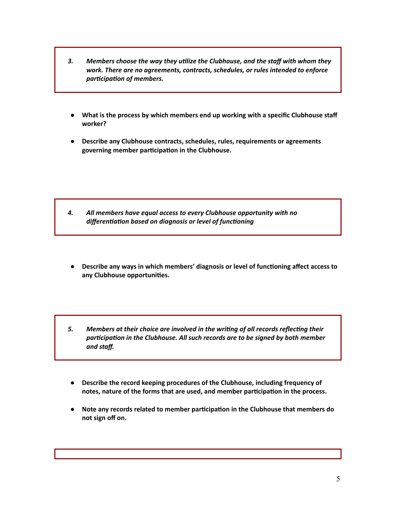- *3. Members choose the way they ulize the Clubhouse, and the staff with whom they work. There are no agreements, contracts, schedules, or rules intended to enforce participation of members.*
- **● What is the process by which members end up working with a specific Clubhouse staff worker?**
- **● Describe any Clubhouse contracts, schedules, rules, requirements or agreements governing member parcipaon in the Clubhouse.**

- *4. All members have equal access to every Clubhouse opportunity with no differentiation based on diagnosis or level of functioning*
- **● Describe any ways in which members' diagnosis or level of funconing affect access to any Clubhouse opportunies.**
- *5. Members at their choice are involved in the wring of all records reflecng their parcipaon in the Clubhouse. All such records are to be signed by both member and staff.*
- **● Describe the record keeping procedures of the Clubhouse, including frequency of notes, nature of the forms that are used, and member parcipaon in the process.**
- **● Note any records related to member parcipaon in the Clubhouse that members do not sign off on.**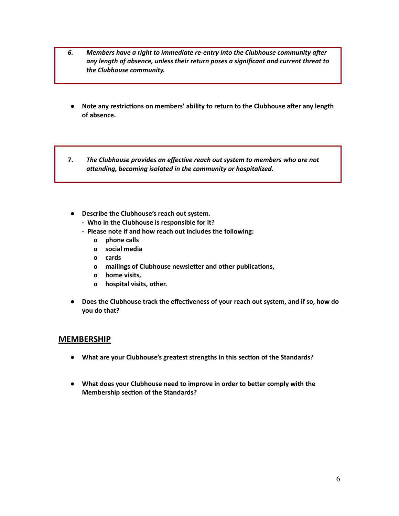- *6. Members have a right to immediate re-entry into the Clubhouse community aer any length of absence, unless their return poses a significant and current threat to the Clubhouse community.*
- **● Note any restricons on members' ability to return to the Clubhouse aer any length of absence.**
- **7.** *The Clubhouse provides an effecve reach out system to members who are not*  $a$ ttending, becoming isolated in the community or hospitalized.
- **● Describe the Clubhouse's reach out system.**
	- **- Who in the Clubhouse is responsible for it?**
	- **- Please note if and how reach out includes the following:**
		- **o phone calls**
		- **o social media**
		- **o cards**
		- **o mailings of Clubhouse newsletter and other publications,**
		- **o home visits,**
		- **o hospital visits, other.**
- **•** Does the Clubhouse track the effectiveness of your reach out system, and if so, how do **you do that?**

#### **MEMBERSHIP**

- **● What are your Clubhouse's greatest strengths in this secon of the Standards?**
- **● What does your Clubhouse need to improve in order to beer comply with the Membership section of the Standards?**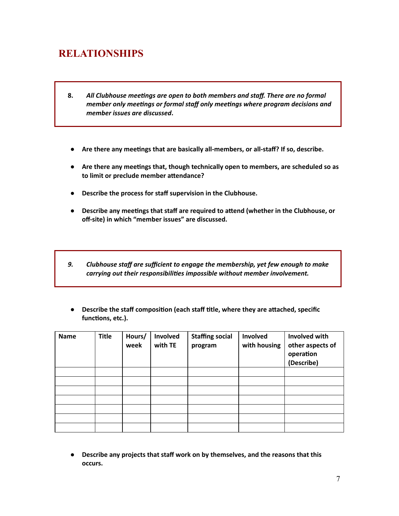## **RELATIONSHIPS**

- **8.** *All Clubhouse meengs are open to both members and staff. There are no formal member* only meetings or formal staff only meetings where program decisions and *member issues are discussed***.**
- **● Are there any meengs that are basically all-members, or all-staff? If so, describe.**
- **● Are there any meengs that, though technically open to members, are scheduled so as to** limit or preclude member attendance?
- **● Describe the process for staff supervision in the Clubhouse.**
- **● Describe any meengs that staff are required to aend (whether in the Clubhouse, or off-site) in which "member issues" are discussed.**
- *9. Clubhouse staff are sufficient to engage the membership, yet few enough to make carrying out their responsibilies impossible without member involvement.*
- **● Describe the staff composion (each staff tle, where they are aached, specific** functions, etc.).

| <b>Name</b> | <b>Title</b> | Hours/<br>week | Involved<br>with TE | <b>Staffing social</b><br>program | Involved<br>with housing | Involved with<br>other aspects of<br>operation<br>(Describe) |
|-------------|--------------|----------------|---------------------|-----------------------------------|--------------------------|--------------------------------------------------------------|
|             |              |                |                     |                                   |                          |                                                              |
|             |              |                |                     |                                   |                          |                                                              |
|             |              |                |                     |                                   |                          |                                                              |
|             |              |                |                     |                                   |                          |                                                              |
|             |              |                |                     |                                   |                          |                                                              |
|             |              |                |                     |                                   |                          |                                                              |
|             |              |                |                     |                                   |                          |                                                              |

**● Describe any projects that staff work on by themselves, and the reasons that this occurs.**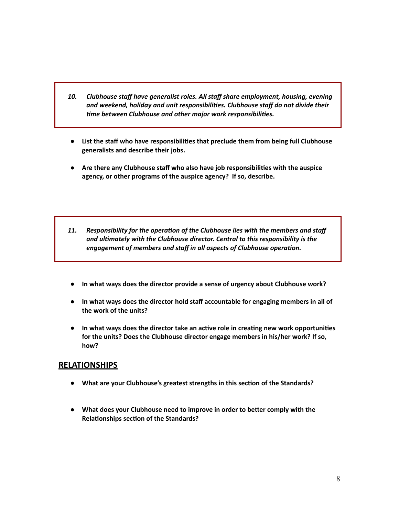- *10. Clubhouse staff have generalist roles. All staff share employment, housing, evening and weekend, holiday and unit responsibilies. Clubhouse staff do not divide their me between Clubhouse and other major work responsibilies.*
- **● List the staff who have responsibilies that preclude them from being full Clubhouse generalists and describe their jobs.**
- **● Are there any Clubhouse staff who also have job responsibilies with the auspice agency, or other programs of the auspice agency? If so, describe.**
- **11. Responsibility for the operation of the Clubhouse lies with the members and staff** *and ulmately with the Clubhouse director. Central to this responsibility is the engagement* of *members* and *staff* in all aspects of Clubhouse operation.
- **● In what ways does the director provide a sense of urgency about Clubhouse work?**
- **● In what ways does the director hold staff accountable for engaging members in all of the work of the units?**
- **● In what ways does the director take an acve role in creang new work opportunies for the units? Does the Clubhouse director engage members in his/her work? If so, how?**

#### **RELATIONSHIPS**

- **● What are your Clubhouse's greatest strengths in this secon of the Standards?**
- **● What does your Clubhouse need to improve in order to beer comply with the Relationships section of the Standards?**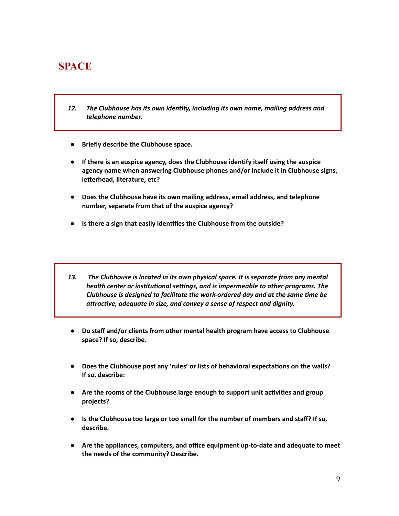### **SPACE**

- *12. The Clubhouse has its own identy, including its own name, mailing address and telephone number.*
- **● Briefly describe the Clubhouse space.**
- **● If there is an auspice agency, does the Clubhouse idenfy itself using the auspice agency name when answering Clubhouse phones and/or include it in Clubhouse signs, letterhead, literature, etc?**
- **● Does the Clubhouse have its own mailing address, email address, and telephone number, separate from that of the auspice agency?**
- **● Is there a sign that easily idenfies the Clubhouse from the outside?**
- *13. The Clubhouse is located in its own physical space. It is separate from any mental health center or institutional settings, and is impermeable to other programs. The Clubhouse is designed to facilitate the work-ordered day and at the same me be aracve, adequate in size, and convey a sense of respect and dignity.*
- **● Do staff and/or clients from other mental health program have access to Clubhouse space? If so, describe.**
- **• Does** the Clubhouse post any 'rules' or lists of behavioral expectations on the walls? **If so, describe:**
- **•** Are the rooms of the Clubhouse large enough to support unit activities and group **projects?**
- **● Is the Clubhouse too large or too small for the number of members and staff? If so, describe.**
- **● Are the appliances, computers, and office equipment up-to-date and adequate to meet the needs of the community? Describe.**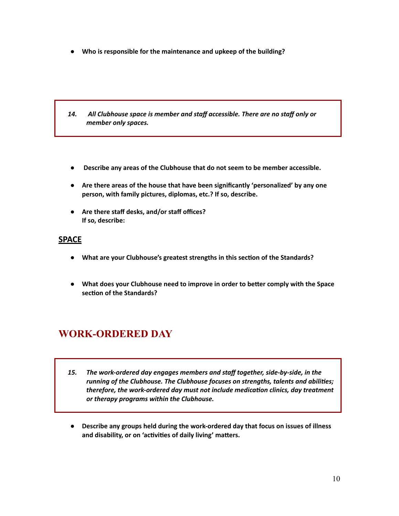**● Who is responsible for the maintenance and upkeep of the building?**

- *14. All Clubhouse space is member and staff accessible. There are no staff only or member only spaces.*
- **● Describe any areas of the Clubhouse that do not seem to be member accessible.**
- **● Are there areas of the house that have been significantly 'personalized' by any one person, with family pictures, diplomas, etc.? If so, describe.**
- **● Are there staff desks, and/or staff offices? If so, describe:**

#### **SPACE**

- **● What are your Clubhouse's greatest strengths in this secon of the Standards?**
- **• What** does your Clubhouse need to improve in order to better comply with the Space **secon of the Standards?**

## **WORK-ORDERED DAY**

- *15. The work-ordered day engages members and staff together, side-by-side, in the running of the Clubhouse. The Clubhouse focuses on strengths, talents and abilies; therefore, the work-ordered day must not include medicaon clinics, day treatment or therapy programs within the Clubhouse.*
- **● Describe any groups held during the work-ordered day that focus on issues of illness** and disability, or on 'activities of daily living' matters.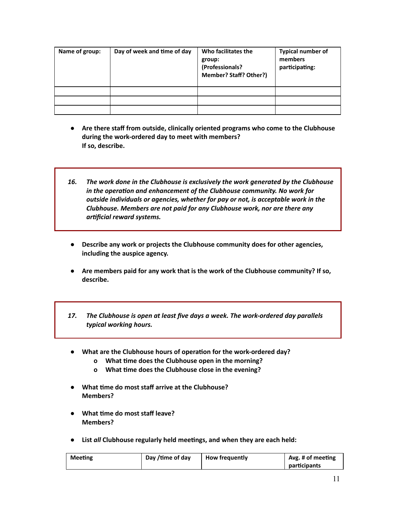| Name of group: | Day of week and time of day | Who facilitates the<br>group:<br>(Professionals?<br>Member? Staff? Other?) | <b>Typical number of</b><br>members<br>participating: |
|----------------|-----------------------------|----------------------------------------------------------------------------|-------------------------------------------------------|
|                |                             |                                                                            |                                                       |
|                |                             |                                                                            |                                                       |
|                |                             |                                                                            |                                                       |

- **● Are there staff from outside, clinically oriented programs who come to the Clubhouse during the work-ordered day to meet with members? If so, describe.**
- *16. The work done in the Clubhouse is exclusively the work generated by the Clubhouse in* the operation and enhancement of the Clubhouse community. No work for *outside individuals or agencies, whether for pay or not, is acceptable work in the Clubhouse. Members are not paid for any Clubhouse work, nor are there any arficial reward systems.*
- **● Describe any work or projects the Clubhouse community does for other agencies, including the auspice agency.**
- **● Are members paid for any work that is the work of the Clubhouse community? If so, describe.**
- *17. The Clubhouse is open at least five days a week. The work-ordered day parallels typical working hours.*
- **•** What are the Clubhouse hours of operation for the work-ordered day?
	- **o What me does the Clubhouse open in the morning?**
	- **o What me does the Clubhouse close in the evening?**
- **● What me do most staff arrive at the Clubhouse? Members?**
- **● What me do most staff leave? Members?**
- **● List** *all* **Clubhouse regularly held meengs, and when they are each held:**

| <b>Meeting</b> | Day /time of day | <b>How frequently</b> | Avg. # of meeting |
|----------------|------------------|-----------------------|-------------------|
|                |                  |                       | participants      |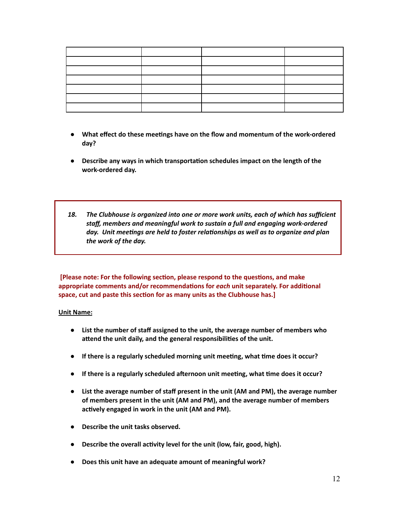- **● What effect do these meengs have on the flow and momentum of the work-ordered day?**
- **• Describe** any ways in which transportation schedules impact on the length of the **work-ordered day.**
- *18. The Clubhouse is organized into one or more work units, each of which has sufficient staff, members and meaningful work to sustain a full and engaging work-ordered day.* Unit meetings are held to foster relationships as well as to organize and plan *the work of the day.*

**[Please note: For the following secon, please respond to the quesons, and make appropriate** comments and/or recommendations for *each* unit separately. For additional **space, cut and paste this secon for as many units as the Clubhouse has.]**

#### **Unit Name:**

- **● List the number of staff assigned to the unit, the average number of members who aend the unit daily, and the general responsibilies of the unit.**
- **● If there is a regularly scheduled morning unit meeng, what me does it occur?**
- **•** If there is a regularly scheduled afternoon unit meeting, what time does it occur?
- **● List the average number of staff present in the unit (AM and PM), the average number of members present in the unit (AM and PM), and the average number of members actively** engaged in work in the unit (AM and PM).
- **● Describe the unit tasks observed.**
- **•** Describe the overall activity level for the unit (low, fair, good, high).
- **● Does this unit have an adequate amount of meaningful work?**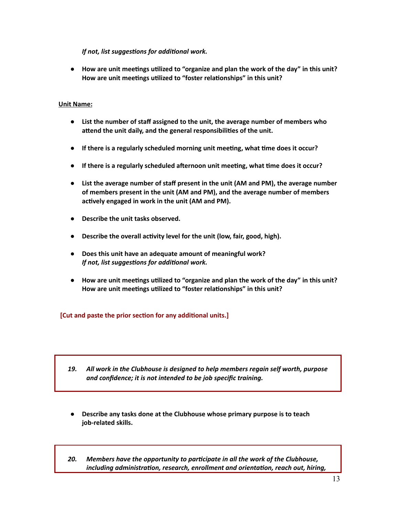*If* not, list suggestions for additional work.

**● How are unit meengs ulized to "organize and plan the work of the day" in this unit? How are unit meengs ulized to "foster relaonships" in this unit?**

#### **Unit Name:**

- **● List the number of staff assigned to the unit, the average number of members who aend the unit daily, and the general responsibilies of the unit.**
- **● If there is a regularly scheduled morning unit meeng, what me does it occur?**
- **•** If there is a regularly scheduled afternoon unit meeting, what time does it occur?
- **● List the average number of staff present in the unit (AM and PM), the average number of members present in the unit (AM and PM), and the average number of members actively** engaged in work in the unit (AM and PM).
- **● Describe the unit tasks observed.**
- **•** Describe the overall activity level for the unit (low, fair, good, high).
- **● Does this unit have an adequate amount of meaningful work?** *If* not, list suggestions for additional work.
- **● How are unit meengs ulized to "organize and plan the work of the day" in this unit? How** are unit meetings utilized to "foster relationships" in this unit?

#### **[Cut and paste the prior secon for any addional units.]**

- *19. All work in the Clubhouse is designed to help members regain self worth, purpose and confidence; it is not intended to be job specific training.*
- **● Describe any tasks done at the Clubhouse whose primary purpose is to teach job-related skills.**
- *20. Members have the opportunity to parcipate in all the work of the Clubhouse, including administration, research, enrollment and orientation, reach out, hiring,*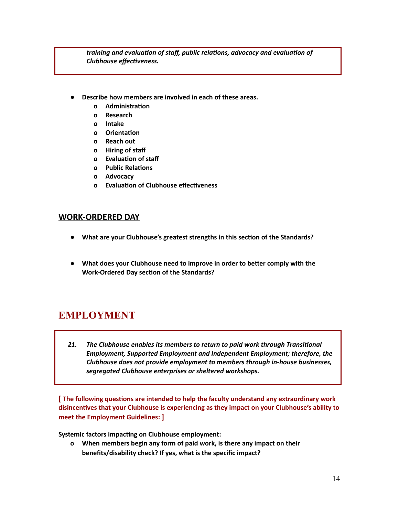*training* and *evaluation of staff, public relations, advocacy and evaluation of* **Clubhouse** *effectiveness.* 

- **● Describe how members are involved in each of these areas.**
	- **o Administration**
	- **o Research**
	- **o Intake**
	- **o** Orientation
	- **o Reach out**
	- **o Hiring of staff**
	- **o Evaluation** of staff
	- **o Public Relations**
	- **o Advocacy**
	- **o Evaluation of Clubhouse effectiveness**

#### **WORK-ORDERED DAY**

- **● What are your Clubhouse's greatest strengths in this secon of the Standards?**
- **● What does your Clubhouse need to improve in order to beer comply with the Work-Ordered Day section of the Standards?**

## **EMPLOYMENT**

*21. The Clubhouse enables its members to return to paid work through Transional Employment, Supported Employment and Independent Employment; therefore, the Clubhouse does not provide employment to members through in-house businesses, segregated Clubhouse enterprises or sheltered workshops.*

**[** The following questions are intended to help the faculty understand any extraordinary work **disincenves that your Clubhouse is experiencing as they impact on your Clubhouse's ability to meet the Employment Guidelines: ]**

**Systemic factors impacting on Clubhouse employment:** 

**o When members begin any form of paid work, is there any impact on their benefits/disability check? If yes, what is the specific impact?**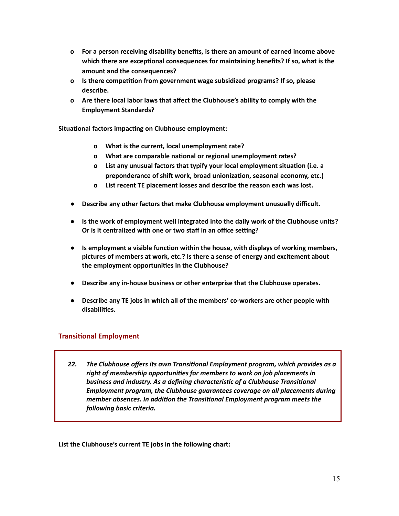- **o For a person receiving disability benefits, is there an amount of earned income above which there are exceponal consequences for maintaining benefits? If so, what is the amount and the consequences?**
- $\alpha$  **Is there competition from government wage subsidized programs? If so, please describe.**
- **o Are there local labor laws that affect the Clubhouse's ability to comply with the Employment Standards?**

**Situational factors impacting on Clubhouse employment:** 

- **o What is the current, local unemployment rate?**
- **o What** are comparable national or regional unemployment rates?
- **o List any unusual factors that typify your local employment situaon (i.e. a preponderance of shi work, broad unionizaon, seasonal economy, etc.)**
- **o List recent TE placement losses and describe the reason each was lost.**
- **● Describe any other factors that make Clubhouse employment unusually difficult.**
- **● Is the work of employment well integrated into the daily work of the Clubhouse units? Or is it centralized with one or two staff in an office seng?**
- **•** Is employment a visible function within the house, with displays of working members, **pictures of members at work, etc.? Is there a sense of energy and excitement about the employment opportunies in the Clubhouse?**
- **● Describe any in-house business or other enterprise that the Clubhouse operates.**
- **● Describe any TE jobs in which all of the members' co-workers are other people with disabilies.**

#### **Transitional Employment**

*22. The Clubhouse offers its own Transional Employment program, which provides as a right of membership opportunies for members to work on job placements in business and industry. As a defining characterisc of a Clubhouse Transional Employment program, the Clubhouse guarantees coverage on all placements during member absences. In addion the Transional Employment program meets the following basic criteria.*

**List the Clubhouse's current TE jobs in the following chart:**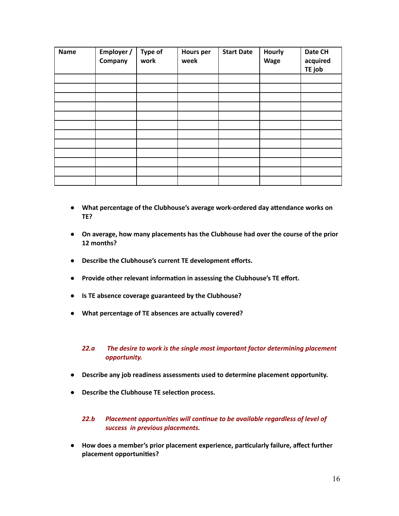| <b>Name</b> | Employer /<br>Company | Type of<br>work | <b>Hours per</b><br>week | <b>Start Date</b> | <b>Hourly</b><br>Wage | Date CH<br>acquired<br>TE job |
|-------------|-----------------------|-----------------|--------------------------|-------------------|-----------------------|-------------------------------|
|             |                       |                 |                          |                   |                       |                               |
|             |                       |                 |                          |                   |                       |                               |
|             |                       |                 |                          |                   |                       |                               |
|             |                       |                 |                          |                   |                       |                               |
|             |                       |                 |                          |                   |                       |                               |
|             |                       |                 |                          |                   |                       |                               |
|             |                       |                 |                          |                   |                       |                               |
|             |                       |                 |                          |                   |                       |                               |
|             |                       |                 |                          |                   |                       |                               |
|             |                       |                 |                          |                   |                       |                               |
|             |                       |                 |                          |                   |                       |                               |
|             |                       |                 |                          |                   |                       |                               |

- **•** What percentage of the Clubhouse's average work-ordered day attendance works on **TE?**
- **● On average, how many placements has the Clubhouse had over the course of the prior 12 months?**
- **● Describe the Clubhouse's current TE development efforts.**
- **•** Provide other relevant information in assessing the Clubhouse's TE effort.
- **● Is TE absence coverage guaranteed by the Clubhouse?**
- **● What percentage of TE absences are actually covered?**

#### *22.a The desire to work is the single most important factor determining placement opportunity.*

- **● Describe any job readiness assessments used to determine placement opportunity.**
- **● Describe the Clubhouse TE selecon process.**

#### **22.b** Placement opportunities will continue to be available regardless of level of *success in previous placements.*

**● How does a member's prior placement experience, parcularly failure, affect further placement opportunies?**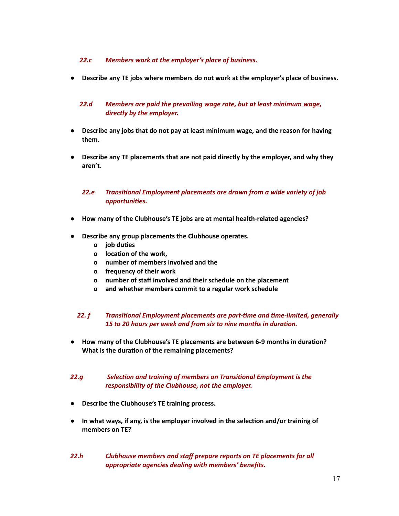#### *22.c Members work at the employer's place of business.*

**● Describe any TE jobs where members do not work at the employer's place of business.**

#### *22.d Members are paid the prevailing wage rate, but at least minimum wage, directly by the employer.*

- **● Describe any jobs that do not pay at least minimum wage, and the reason for having them.**
- **● Describe any TE placements that are not paid directly by the employer, and why they aren't.**

#### *22.e Transional Employment placements are drawn from a wide variety of job opportunies.*

- **● How many of the Clubhouse's TE jobs are at mental health-related agencies?**
- **● Describe any group placements the Clubhouse operates.**
	- **o job** duties
	- **o location** of the work.
	- **o number of members involved and the**
	- **o frequency of their work**
	- **o number of staff involved and their schedule on the placement**
	- **o and whether members commit to a regular work schedule**

#### **22. f** Transitional *Employment placements* are part-time and time-limited, generally 15 to 20 hours per week and from six to nine months in duration.

**•** How many of the Clubhouse's TE placements are between 6-9 months in duration? **What** is the duration of the remaining placements?

#### **22.g Selection and training of members on Transitional Employment is the** *responsibility of the Clubhouse, not the employer.*

- **● Describe the Clubhouse's TE training process.**
- **● In what ways, if any, is the employer involved in the selecon and/or training of members on TE?**
- *22.h Clubhouse members and staff prepare reports on TE placements for all appropriate agencies dealing with members' benefits.*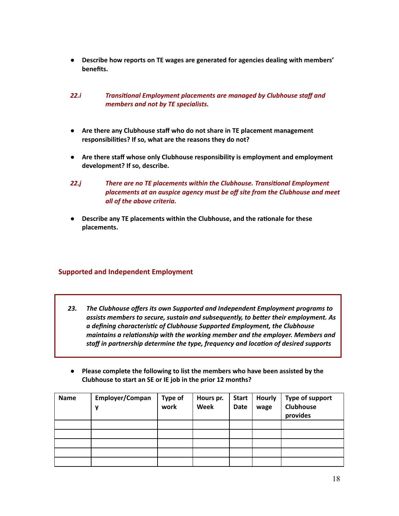- **● Describe how reports on TE wages are generated for agencies dealing with members' benefits.**
- *22.i Transional Employment placements are managed by Clubhouse staff and members and not by TE specialists.*
- **● Are there any Clubhouse staff who do not share in TE placement management responsibilies? If so, what are the reasons they do not?**
- **● Are there staff whose only Clubhouse responsibility is employment and employment development? If so, describe.**
- **22.j** There are no TE placements within the Clubhouse. Transitional Employment *placements at an auspice agency must be off site from the Clubhouse and meet all of the above criteria.*
- **● Describe any TE placements within the Clubhouse, and the raonale for these placements.**

#### **Supported and Independent Employment**

- *23. The Clubhouse offers its own Supported and Independent Employment programs to assists members to secure, sustain and subsequently, to beer their employment. As a defining characterisc of Clubhouse Supported Employment, the Clubhouse maintains a relaonship with the working member and the employer. Members and staff in partnership determine the type, frequency and locaon of desired supports*
- **● Please complete the following to list the members who have been assisted by the Clubhouse to start an SE or IE job in the prior 12 months?**

| <b>Name</b> | Employer/Compan<br>v | <b>Type of</b><br>work | Hours pr.<br><b>Week</b> | <b>Start</b><br>Date | <b>Hourly</b><br>wage | Type of support<br>Clubhouse<br>provides |
|-------------|----------------------|------------------------|--------------------------|----------------------|-----------------------|------------------------------------------|
|             |                      |                        |                          |                      |                       |                                          |
|             |                      |                        |                          |                      |                       |                                          |
|             |                      |                        |                          |                      |                       |                                          |
|             |                      |                        |                          |                      |                       |                                          |
|             |                      |                        |                          |                      |                       |                                          |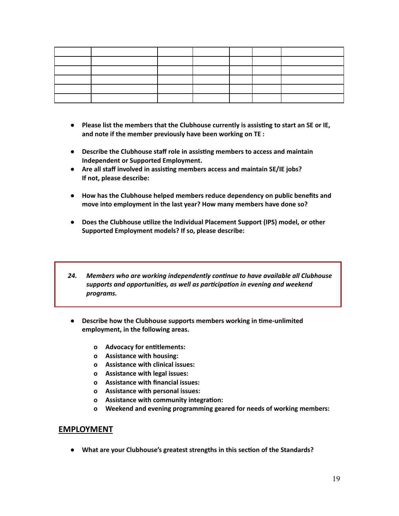- **● Please list the members that the Clubhouse currently is assisng to start an SE or IE, and note if the member previously have been working on TE :**
- **● Describe the Clubhouse staff role in assisng members to access and maintain Independent or Supported Employment.**
- **● Are all staff involved in assisng members access and maintain SE/IE jobs? If not, please describe:**
- **● How has the Clubhouse helped members reduce dependency on public benefits and move into employment in the last year? How many members have done so?**
- **● Does the Clubhouse ulize the Individual Placement Support (IPS) model, or other Supported Employment models? If so, please describe:**
- *24. Members who are working independently connue to have available all Clubhouse supports and opportunies, as well as parcipaon in evening and weekend programs.*
- **● Describe how the Clubhouse supports members working in me-unlimited employment, in the following areas.**
	- **o Advocacy for entlements:**
	- **o Assistance with housing:**
	- **o Assistance with clinical issues:**
	- **o Assistance with legal issues:**
	- **o Assistance with financial issues:**
	- **o Assistance with personal issues:**
	- **o Assistance** with community integration:
	- **o Weekend and evening programming geared for needs of working members:**

#### **EMPLOYMENT**

**● What are your Clubhouse's greatest strengths in this secon of the Standards?**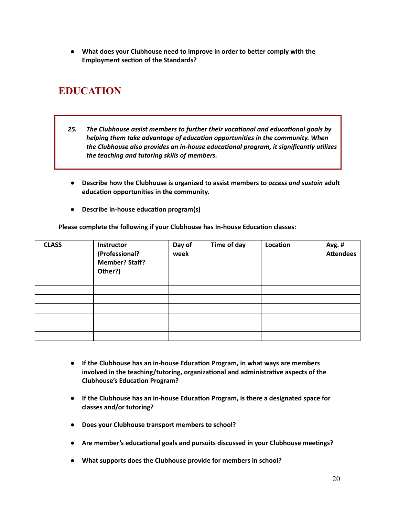**● What does your Clubhouse need to improve in order to beer comply with the Employment section of the Standards?** 

# **EDUCATION**

- **25.** The Clubhouse assist members to further their vocational and educational goals by *helping them take advantage of educaon opportunies in the community. When the Clubhouse also provides an in-house educaonal program, it significantly ulizes the teaching and tutoring skills of members.*
- **● Describe how the Clubhouse is organized to assist members to** *access and sustain* **adult education opportunities in the community.**
- **•** Describe in-house education program(s)

**Please complete the following if your Clubhouse has In-house Education classes:** 

| <b>CLASS</b> | Instructor<br>(Professional?<br><b>Member? Staff?</b><br>Other?) | Day of<br>week | Time of day | Location | Avg. #<br><b>Attendees</b> |
|--------------|------------------------------------------------------------------|----------------|-------------|----------|----------------------------|
|              |                                                                  |                |             |          |                            |
|              |                                                                  |                |             |          |                            |
|              |                                                                  |                |             |          |                            |
|              |                                                                  |                |             |          |                            |
|              |                                                                  |                |             |          |                            |
|              |                                                                  |                |             |          |                            |

- **● If the Clubhouse has an in-house Educaon Program, in what ways are members involved in the teaching/tutoring, organizaonal and administrave aspects of the Clubhouse's Education Program?**
- **● If the Clubhouse has an in-house Educaon Program, is there a designated space for classes and/or tutoring?**
- **● Does your Clubhouse transport members to school?**
- **•** Are member's educational goals and pursuits discussed in your Clubhouse meetings?
- **● What supports does the Clubhouse provide for members in school?**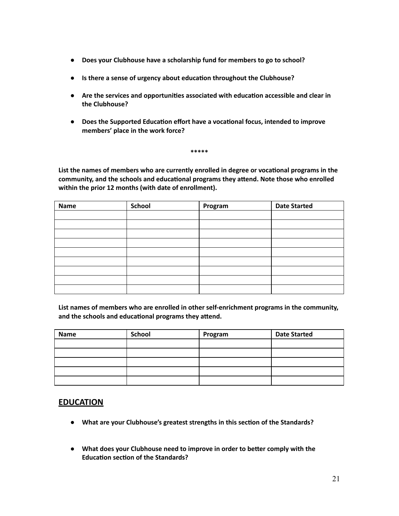- **● Does your Clubhouse have a scholarship fund for members to go to school?**
- **● Is there a sense of urgency about educaon throughout the Clubhouse?**
- **● Are the services and opportunies associated with educaon accessible and clear in the Clubhouse?**
- **•** Does the Supported Education effort have a vocational focus, intended to improve **members' place in the work force?**

**\*\*\*\*\***

**List the names of members who are currently enrolled in degree or vocaonal programs in the community, and the schools and educational programs they attend. Note those who enrolled within the prior 12 months (with date of enrollment).**

| <b>Name</b> | <b>School</b> | Program | <b>Date Started</b> |
|-------------|---------------|---------|---------------------|
|             |               |         |                     |
|             |               |         |                     |
|             |               |         |                     |
|             |               |         |                     |
|             |               |         |                     |
|             |               |         |                     |
|             |               |         |                     |
|             |               |         |                     |
|             |               |         |                     |

**List names of members who are enrolled in other self-enrichment programs in the community, and** the schools and educational programs they attend.

| <b>Name</b> | School | Program | <b>Date Started</b> |
|-------------|--------|---------|---------------------|
|             |        |         |                     |
|             |        |         |                     |
|             |        |         |                     |
|             |        |         |                     |
|             |        |         |                     |

#### **EDUCATION**

- **● What are your Clubhouse's greatest strengths in this secon of the Standards?**
- **● What does your Clubhouse need to improve in order to beer comply with the Education section of the Standards?**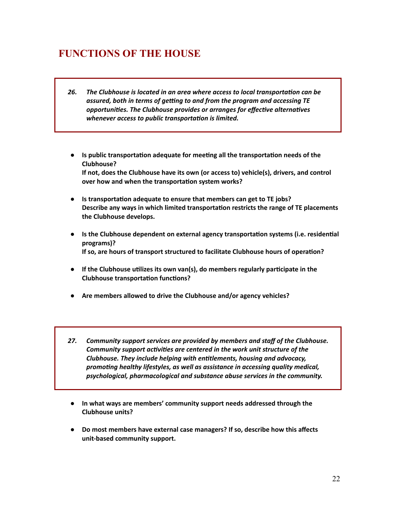### **FUNCTIONS OF THE HOUSE**

- *26. The Clubhouse is located in an area where access to local transportaon can be assured, both in terms of geng to and from the program and accessing TE opportunies. The Clubhouse provides or arranges for effecve alternaves whenever access* to *public transportation is limited.*
- **•** Is public transportation adequate for meeting all the transportation needs of the **Clubhouse? If not, does the Clubhouse have its own (or access to) vehicle(s), drivers, and control over** how and when the transportation system works?
- **•** Is transportation adequate to ensure that members can get to TE jobs? **Describe** any ways in which limited transportation restricts the range of TE placements **the Clubhouse develops.**
- **• Is the Clubhouse dependent on external agency transportation systems (i.e. residential programs)? If so, are hours of transport structured to facilitate Clubhouse hours of operaon?**
- **● If the Clubhouse ulizes its own van(s), do members regularly parcipate in the Clubhouse transportation functions?**
- **● Are members allowed to drive the Clubhouse and/or agency vehicles?**
- *27. Community support services are provided by members and staff of the Clubhouse. Community support activities* are *centered* in the work *unit structure* of the *Clubhouse. They include helping with entlements, housing and advocacy, promong healthy lifestyles, as well as assistance in accessing quality medical, psychological, pharmacological and substance abuse services in the community.*
- **● In what ways are members' community support needs addressed through the Clubhouse units?**
- **● Do most members have external case managers? If so, describe how this affects unit-based community support.**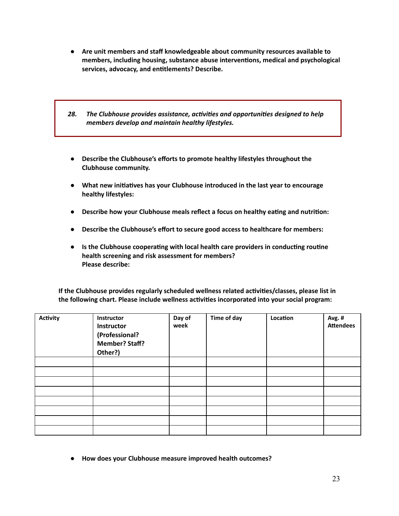- **● Are unit members and staff knowledgeable about community resources available to members, including housing, substance abuse intervenons, medical and psychological services, advocacy, and entlements? Describe.**
- 28. The Clubhouse provides assistance, activities and opportunities designed to help *members develop and maintain healthy lifestyles.*
- **● Describe the Clubhouse's efforts to promote healthy lifestyles throughout the Clubhouse community.**
- **● What new iniaves has your Clubhouse introduced in the last year to encourage healthy lifestyles:**
- **• Describe** how your Clubhouse meals reflect a focus on healthy eating and nutrition:
- **● Describe the Clubhouse's effort to secure good access to healthcare for members:**
- **•** Is the Clubhouse cooperating with local health care providers in conducting routine **health screening and risk assessment for members? Please describe:**

**If the Clubhouse provides regularly scheduled wellness related acvies/classes, please list in the following chart.** Please **include** wellness activities incorporated into your social program:

| <b>Activity</b> | Instructor<br>Instructor<br>(Professional?<br><b>Member? Staff?</b><br>Other?) | Day of<br>week | Time of day | Location | Avg. #<br><b>Attendees</b> |
|-----------------|--------------------------------------------------------------------------------|----------------|-------------|----------|----------------------------|
|                 |                                                                                |                |             |          |                            |
|                 |                                                                                |                |             |          |                            |
|                 |                                                                                |                |             |          |                            |
|                 |                                                                                |                |             |          |                            |
|                 |                                                                                |                |             |          |                            |
|                 |                                                                                |                |             |          |                            |
|                 |                                                                                |                |             |          |                            |
|                 |                                                                                |                |             |          |                            |

**● How does your Clubhouse measure improved health outcomes?**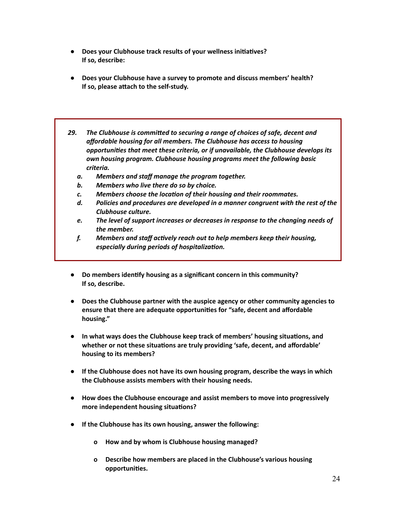- **•** Does your Clubhouse track results of your wellness initiatives? **If so, describe:**
- **● Does your Clubhouse have a survey to promote and discuss members' health? If** so, please attach to the self-study.
- *29.* The Clubhouse is committed to securing a range of choices of safe, decent and *affordable housing for all members. The Clubhouse has access to housing opportunies that meet these criteria, or if unavailable, the Clubhouse develops its own housing program. Clubhouse housing programs meet the following basic criteria.*
	- *a. Members and staff manage the program together.*
	- *b. Members who live there do so by choice.*
	- $c.$  Members choose the *location of their housing and their roommates.*
	- *d. Policies and procedures are developed in a manner congruent with the rest of the Clubhouse culture.*
	- *e. The level of support increases or decreases in response to the changing needs of the member.*
	- *f. Members and staff acvely reach out to help members keep their housing, especially during periods of hospitalization.*
- **● Do members idenfy housing as a significant concern in this community? If so, describe.**
- **● Does the Clubhouse partner with the auspice agency or other community agencies to ensure that there are adequate opportunies for "safe, decent and affordable housing."**
- **•** In what ways does the Clubhouse keep track of members' housing situations, and **whether** or not these situations are truly providing 'safe, decent, and affordable' **housing to its members?**
- **● If the Clubhouse does not have its own housing program, describe the ways in which the Clubhouse assists members with their housing needs.**
- **● How does the Clubhouse encourage and assist members to move into progressively more** independent housing situations?
- **● If the Clubhouse has its own housing, answer the following:**
	- **o How and by whom is Clubhouse housing managed?**
	- **o Describe how members are placed in the Clubhouse's various housing opportunies.**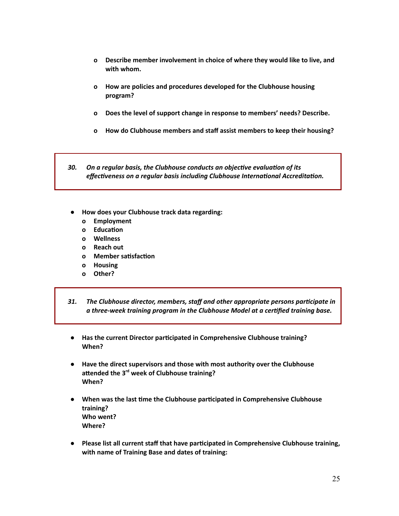- **o Describe member involvement in choice of where they would like to live, and with whom.**
- **o How are policies and procedures developed for the Clubhouse housing program?**
- **o Does the level of support change in response to members' needs? Describe.**
- **o How do Clubhouse members and staff assist members to keep their housing?**

30. On a regular basis, the Clubhouse conducts an objective evaluation of its *effectiveness on a regular basis including Clubhouse International Accreditation.* 

- **● How does your Clubhouse track data regarding:**
	- **o Employment**
	- **o Education**
	- **o Wellness**
	- **o Reach out**
	- **o Member** satisfaction
	- **o Housing**
	- **o Other?**
- *31. The Clubhouse director, members, staff and other appropriate persons parcipate in a three-week training program in the Clubhouse Model at a cerfied training base.*
- **● Has the current Director parcipated in Comprehensive Clubhouse training? When?**
- **● Have the direct supervisors and those with most authority over the Clubhouse** attended the 3<sup>rd</sup> week of Clubhouse training? **When?**
- **● When was the last me the Clubhouse parcipated in Comprehensive Clubhouse training? Who went? Where?**
- **● Please list all current staff that have parcipated in Comprehensive Clubhouse training, with name of Training Base and dates of training:**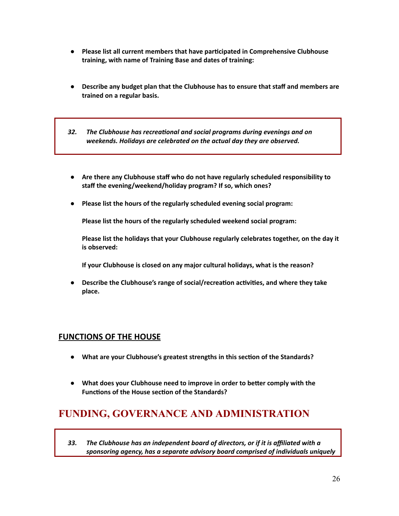- **● Please list all current members that have parcipated in Comprehensive Clubhouse training, with name of Training Base and dates of training:**
- **● Describe any budget plan that the Clubhouse has to ensure that staff and members are trained on a regular basis.**
- *32.* The Clubhouse has recreational and social programs during evenings and on *weekends. Holidays are celebrated on the actual day they are observed.*
- **● Are there any Clubhouse staff who do not have regularly scheduled responsibility to staff the evening/weekend/holiday program? If so, which ones?**
- **● Please list the hours of the regularly scheduled evening social program:**

**Please list the hours of the regularly scheduled weekend social program:**

**Please list the holidays that your Clubhouse regularly celebrates together, on the day it is observed:**

**If your Clubhouse is closed on any major cultural holidays, what is the reason?**

**•** Describe the Clubhouse's range of social/recreation activities, and where they take **place.**

#### **FUNCTIONS OF THE HOUSE**

- **● What are your Clubhouse's greatest strengths in this secon of the Standards?**
- **● What does your Clubhouse need to improve in order to beer comply with the Functions of the House section of the Standards?**

## **FUNDING, GOVERNANCE AND ADMINISTRATION**

*33. The Clubhouse has an independent board of directors, or if it is affiliated with a sponsoring agency, has a separate advisory board comprised of individuals uniquely*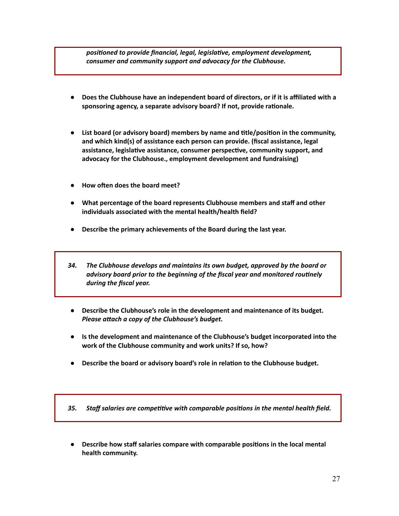*posioned to provide financial, legal, legislave, employment development, consumer and community support and advocacy for the Clubhouse.*

- **● Does the Clubhouse have an independent board of directors, or if it is affiliated with a sponsoring** agency, a separate advisory board? If not, provide rationale.
- **● List board (or advisory board) members by name and tle/posion in the community, and which kind(s) of assistance each person can provide. (fiscal assistance, legal assistance, legislave assistance, consumer perspecve, community support, and advocacy for the Clubhouse., employment development and fundraising)**
- **•** How often does the board meet?
- **● What percentage of the board represents Clubhouse members and staff and other individuals associated with the mental health/health field?**
- **● Describe the primary achievements of the Board during the last year.**
- *34. The Clubhouse develops and maintains its own budget, approved by the board or advisory board prior to the beginning of the fiscal year and monitored rounely during the fiscal year.*
- **● Describe the Clubhouse's role in the development and maintenance of its budget.** *Please attach a copy* of *the Clubhouse's budget.*
- **● Is the development and maintenance of the Clubhouse's budget incorporated into the work of the Clubhouse community and work units? If so, how?**
- **• Describe the board or advisory board's role in relation to the Clubhouse budget.**

*35.* Staff salaries are competitive with comparable positions in the mental health field.

**● Describe how staff salaries compare with comparable posions in the local mental health community.**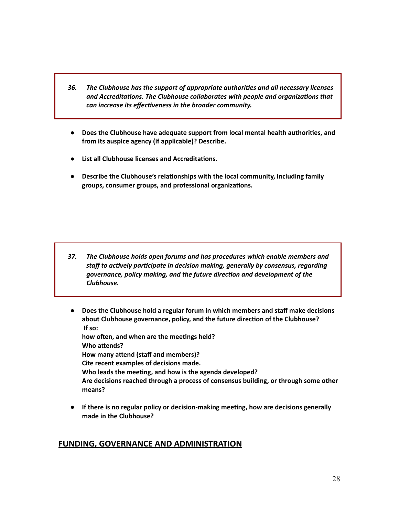- *36. The Clubhouse has the support of appropriate authories and all necessary licenses and Accreditations. The Clubhouse collaborates with people and organizations that can increase its effectiveness in the broader community.*
- **● Does the Clubhouse have adequate support from local mental health authories, and from its auspice agency (if applicable)? Describe.**
- **● List all Clubhouse licenses and Accreditaons.**
- **•** Describe the Clubhouse's relationships with the local community, including family **groups, consumer groups, and professional organizaons.**

- *37. The Clubhouse holds open forums and has procedures which enable members and staff* to actively participate in decision making, generally by consensus, regarding *governance, policy making, and the future direcon and development of the Clubhouse.*
- **● Does the Clubhouse hold a regular forum in which members and staff make decisions about Clubhouse governance, policy, and the future direcon of the Clubhouse? If so: how oen, and when are the meengs held? Who** attends? **How many attend (staff and members)? Cite recent examples of decisions made. Who leads the meeng, and how is the agenda developed? Are decisions reached through a process of consensus building, or through some other means?**
- **● If there is no regular policy or decision-making meeng, how are decisions generally made in the Clubhouse?**

#### **FUNDING, GOVERNANCE AND ADMINISTRATION**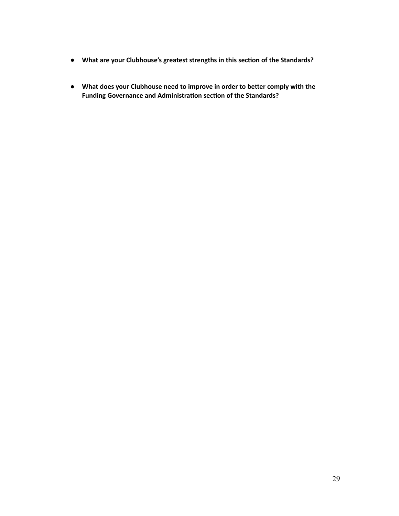- **● What are your Clubhouse's greatest strengths in this secon of the Standards?**
- **● What does your Clubhouse need to improve in order to beer comply with the Funding Governance and Administration section of the Standards?**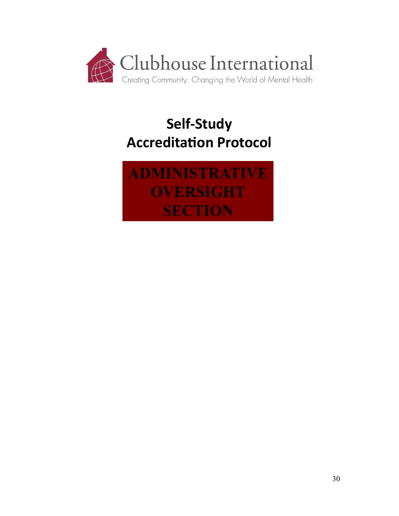

# **Self-Study Accreditation Protocol**

**ADMINISTRATIVE OVERSIGHT SECTION**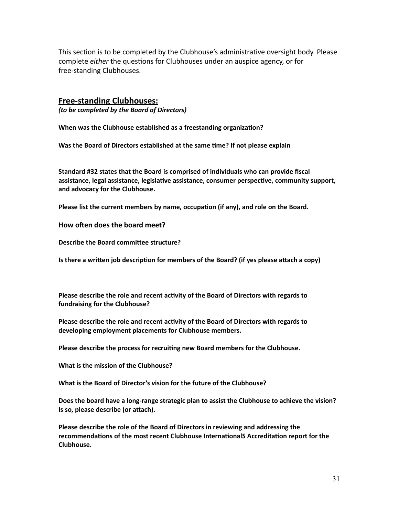This section is to be completed by the Clubhouse's administrative oversight body. Please complete *either* the questions for Clubhouses under an auspice agency, or for free-standing Clubhouses.

#### **Free-standing Clubhouses:**

*(to be completed by the Board of Directors)*

**When** was the Clubhouse established as a freestanding organization?

**Was the Board of Directors established at the same me? If not please explain**

**Standard #32 states that the Board is comprised of individuals who can provide fiscal assistance, legal assistance, legislave assistance, consumer perspecve, community support, and advocacy for the Clubhouse.**

**Please list the current members by name, occupation (if any), and role on the Board.** 

**How often does the board meet?** 

**Describe the Board committee structure?** 

**Is there a written job description for members of the Board? (if yes please attach a copy)** 

**Please describe the role and recent acvity of the Board of Directors with regards to fundraising for the Clubhouse?**

**Please describe the role and recent acvity of the Board of Directors with regards to developing employment placements for Clubhouse members.**

**Please describe the process for recruing new Board members for the Clubhouse.**

**What is the mission of the Clubhouse?**

**What is the Board of Director's vision for the future of the Clubhouse?**

**Does the board have a long-range strategic plan to assist the Clubhouse to achieve the vision? Is so, please describe (or attach).** 

**Please describe the role of the Board of Directors in reviewing and addressing the recommendations of the most recent Clubhouse InternationalS Accreditation report for the Clubhouse.**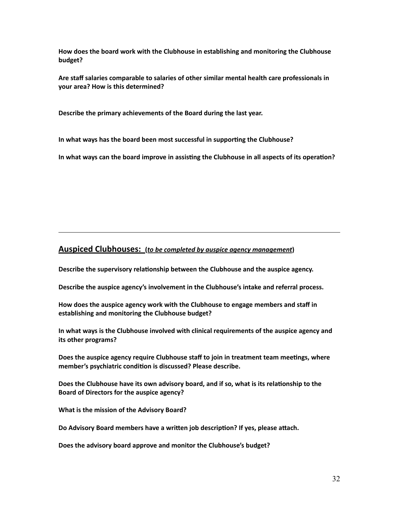**How does the board work with the Clubhouse in establishing and monitoring the Clubhouse budget?**

**Are staff salaries comparable to salaries of other similar mental health care professionals in your area? How is this determined?**

**Describe the primary achievements of the Board during the last year.**

**In what ways has the board been most successful in supporng the Clubhouse?**

**In what ways can the board improve in assisng the Clubhouse in all aspects of its operaon?**

#### **Auspiced Clubhouses: (***to be completed by auspice agency management***)**

**Describe** the supervisory relationship between the Clubhouse and the auspice agency.

**Describe the auspice agency's involvement in the Clubhouse's intake and referral process.**

**How does the auspice agency work with the Clubhouse to engage members and staff in establishing and monitoring the Clubhouse budget?**

**In what ways is the Clubhouse involved with clinical requirements of the auspice agency and its other programs?**

**Does** the auspice agency require Clubhouse staff to join in treatment team meetings, where **member's psychiatric condion is discussed? Please describe.**

**Does the Clubhouse have its own advisory board, and if so, what is its relaonship to the Board of Directors for the auspice agency?**

**What is the mission of the Advisory Board?**

**Do** Advisory Board members have a written job description? If yes, please attach.

**Does the advisory board approve and monitor the Clubhouse's budget?**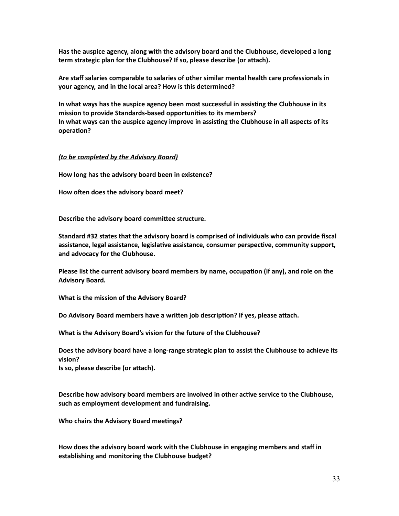**Has the auspice agency, along with the advisory board and the Clubhouse, developed a long term strategic plan for the Clubhouse? If so, please describe (or aach).**

**Are staff salaries comparable to salaries of other similar mental health care professionals in your agency, and in the local area? How is this determined?**

**In what ways has the auspice agency been most successful in assisng the Clubhouse in its mission to provide Standards-based opportunies to its members? In what ways can the auspice agency improve in assisng the Clubhouse in all aspects of its operation?** 

#### *(to be completed by the Advisory Board)*

**How long has the advisory board been in existence?**

**How often does the advisory board meet?** 

**Describe the advisory board commiee structure.**

**Standard #32 states that the advisory board is comprised of individuals who can provide fiscal assistance, legal assistance, legislave assistance, consumer perspecve, community support, and advocacy for the Clubhouse.**

**Please list the current advisory board members by name, occupation (if any), and role on the Advisory Board.**

**What is the mission of the Advisory Board?**

**Do** Advisory Board members have a written job description? If yes, please attach.

**What is the Advisory Board's vision for the future of the Clubhouse?**

**Does the advisory board have a long-range strategic plan to assist the Clubhouse to achieve its vision?**

**Is** so, please describe (or attach).

**Describe how advisory board members are involved in other acve service to the Clubhouse, such as employment development and fundraising.**

**Who** chairs the Advisory Board meetings?

**How does the advisory board work with the Clubhouse in engaging members and staff in establishing and monitoring the Clubhouse budget?**